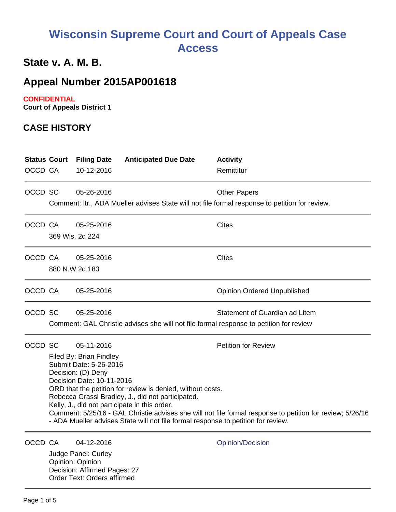# **Wisconsin Supreme Court and Court of Appeals Case Access**

## **State v. A. M. B.**

## **Appeal Number 2015AP001618**

#### **CONFIDENTIAL**

**Court of Appeals District 1**

#### **CASE HISTORY**

| OCCD CA | <b>Status Court</b>                                                                                                                                                                                                                                                                                                                                                                                                                                                                                                    | <b>Filing Date</b><br>10-12-2016                      | <b>Anticipated Due Date</b> | <b>Activity</b><br>Remittitur                                                                                            |
|---------|------------------------------------------------------------------------------------------------------------------------------------------------------------------------------------------------------------------------------------------------------------------------------------------------------------------------------------------------------------------------------------------------------------------------------------------------------------------------------------------------------------------------|-------------------------------------------------------|-----------------------------|--------------------------------------------------------------------------------------------------------------------------|
| OCCD SC |                                                                                                                                                                                                                                                                                                                                                                                                                                                                                                                        | 05-26-2016                                            |                             | <b>Other Papers</b><br>Comment: Itr., ADA Mueller advises State will not file formal response to petition for review.    |
| OCCD CA |                                                                                                                                                                                                                                                                                                                                                                                                                                                                                                                        | 05-25-2016<br>369 Wis. 2d 224                         |                             | <b>Cites</b>                                                                                                             |
| OCCD CA |                                                                                                                                                                                                                                                                                                                                                                                                                                                                                                                        | 05-25-2016<br>880 N.W.2d 183                          |                             | <b>Cites</b>                                                                                                             |
| OCCD CA |                                                                                                                                                                                                                                                                                                                                                                                                                                                                                                                        | 05-25-2016                                            |                             | <b>Opinion Ordered Unpublished</b>                                                                                       |
| OCCD SC |                                                                                                                                                                                                                                                                                                                                                                                                                                                                                                                        | 05-25-2016                                            |                             | Statement of Guardian ad Litem<br>Comment: GAL Christie advises she will not file formal response to petition for review |
| OCCD SC | 05-11-2016<br><b>Petition for Review</b><br>Filed By: Brian Findley<br>Submit Date: 5-26-2016<br>Decision: (D) Deny<br>Decision Date: 10-11-2016<br>ORD that the petition for review is denied, without costs.<br>Rebecca Grassl Bradley, J., did not participated.<br>Kelly, J., did not participate in this order.<br>Comment: 5/25/16 - GAL Christie advises she will not file formal response to petition for review; 5/26/16<br>- ADA Mueller advises State will not file formal response to petition for review. |                                                       |                             |                                                                                                                          |
| OCCD CA |                                                                                                                                                                                                                                                                                                                                                                                                                                                                                                                        | 04-12-2016<br>Judge Panel: Curley<br>Opinion: Opinion |                             | Opinion/Decision                                                                                                         |

Decision: Affirmed Pages: 27 Order Text: Orders affirmed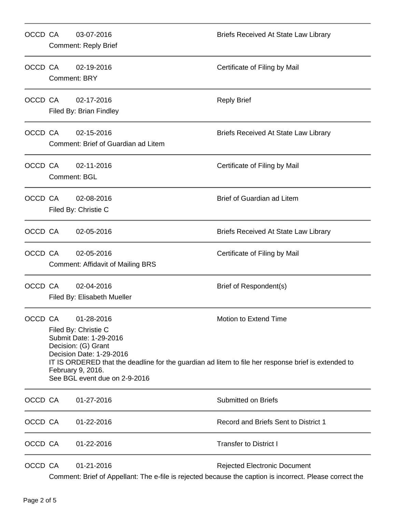| OCCD CA |                                                                                                                                                                                                                                                                                                       | 03-07-2016<br><b>Comment: Reply Brief</b>              | <b>Briefs Received At State Law Library</b>                                                                                                     |
|---------|-------------------------------------------------------------------------------------------------------------------------------------------------------------------------------------------------------------------------------------------------------------------------------------------------------|--------------------------------------------------------|-------------------------------------------------------------------------------------------------------------------------------------------------|
| OCCD CA | 02-19-2016<br><b>Comment: BRY</b>                                                                                                                                                                                                                                                                     |                                                        | Certificate of Filing by Mail                                                                                                                   |
| OCCD CA |                                                                                                                                                                                                                                                                                                       | 02-17-2016<br>Filed By: Brian Findley                  | <b>Reply Brief</b>                                                                                                                              |
| OCCD CA |                                                                                                                                                                                                                                                                                                       | 02-15-2016<br>Comment: Brief of Guardian ad Litem      | <b>Briefs Received At State Law Library</b>                                                                                                     |
| OCCD CA |                                                                                                                                                                                                                                                                                                       | 02-11-2016<br><b>Comment: BGL</b>                      | Certificate of Filing by Mail                                                                                                                   |
| OCCD CA |                                                                                                                                                                                                                                                                                                       | 02-08-2016<br>Filed By: Christie C                     | <b>Brief of Guardian ad Litem</b>                                                                                                               |
| OCCD CA |                                                                                                                                                                                                                                                                                                       | 02-05-2016                                             | <b>Briefs Received At State Law Library</b>                                                                                                     |
| OCCD CA |                                                                                                                                                                                                                                                                                                       | 02-05-2016<br><b>Comment: Affidavit of Mailing BRS</b> | Certificate of Filing by Mail                                                                                                                   |
| OCCD CA |                                                                                                                                                                                                                                                                                                       | 02-04-2016<br>Filed By: Elisabeth Mueller              | Brief of Respondent(s)                                                                                                                          |
| OCCD CA | 01-28-2016<br>Motion to Extend Time<br>Filed By: Christie C<br>Submit Date: 1-29-2016<br>Decision: (G) Grant<br>Decision Date: 1-29-2016<br>IT IS ORDERED that the deadline for the guardian ad litem to file her response brief is extended to<br>February 9, 2016.<br>See BGL event due on 2-9-2016 |                                                        |                                                                                                                                                 |
| OCCD CA |                                                                                                                                                                                                                                                                                                       | 01-27-2016                                             | <b>Submitted on Briefs</b>                                                                                                                      |
| OCCD CA |                                                                                                                                                                                                                                                                                                       | 01-22-2016                                             | Record and Briefs Sent to District 1                                                                                                            |
| OCCD CA |                                                                                                                                                                                                                                                                                                       | 01-22-2016                                             | <b>Transfer to District I</b>                                                                                                                   |
| OCCD CA |                                                                                                                                                                                                                                                                                                       | 01-21-2016                                             | <b>Rejected Electronic Document</b><br>Comment: Brief of Appellant: The e-file is rejected because the caption is incorrect. Please correct the |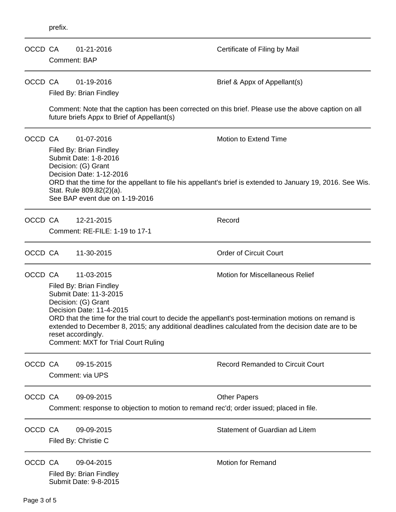| OCCD CA | <b>Comment: BAP</b>                                                                                                                                                                                                                                                                                                            | 01-21-2016                                                                                                                                                                                                                                                                                                                                                                                                                                      | Certificate of Filing by Mail           |  |
|---------|--------------------------------------------------------------------------------------------------------------------------------------------------------------------------------------------------------------------------------------------------------------------------------------------------------------------------------|-------------------------------------------------------------------------------------------------------------------------------------------------------------------------------------------------------------------------------------------------------------------------------------------------------------------------------------------------------------------------------------------------------------------------------------------------|-----------------------------------------|--|
| OCCD CA |                                                                                                                                                                                                                                                                                                                                | 01-19-2016<br>Filed By: Brian Findley                                                                                                                                                                                                                                                                                                                                                                                                           | Brief & Appx of Appellant(s)            |  |
|         | Comment: Note that the caption has been corrected on this brief. Please use the above caption on all<br>future briefs Appx to Brief of Appellant(s)                                                                                                                                                                            |                                                                                                                                                                                                                                                                                                                                                                                                                                                 |                                         |  |
| OCCD CA | <b>Motion to Extend Time</b><br>01-07-2016<br>Filed By: Brian Findley<br>Submit Date: 1-8-2016<br>Decision: (G) Grant<br>Decision Date: 1-12-2016<br>ORD that the time for the appellant to file his appellant's brief is extended to January 19, 2016. See Wis.<br>Stat. Rule 809.82(2)(a).<br>See BAP event due on 1-19-2016 |                                                                                                                                                                                                                                                                                                                                                                                                                                                 |                                         |  |
| OCCD CA |                                                                                                                                                                                                                                                                                                                                | 12-21-2015<br>Comment: RE-FILE: 1-19 to 17-1                                                                                                                                                                                                                                                                                                                                                                                                    | Record                                  |  |
| OCCD CA |                                                                                                                                                                                                                                                                                                                                | 11-30-2015                                                                                                                                                                                                                                                                                                                                                                                                                                      | <b>Order of Circuit Court</b>           |  |
| OCCD CA |                                                                                                                                                                                                                                                                                                                                | 11-03-2015<br><b>Motion for Miscellaneous Relief</b><br>Filed By: Brian Findley<br>Submit Date: 11-3-2015<br>Decision: (G) Grant<br>Decision Date: 11-4-2015<br>ORD that the time for the trial court to decide the appellant's post-termination motions on remand is<br>extended to December 8, 2015; any additional deadlines calculated from the decision date are to be<br>reset accordingly.<br><b>Comment: MXT for Trial Court Ruling</b> |                                         |  |
| OCCD CA |                                                                                                                                                                                                                                                                                                                                | 09-15-2015<br>Comment: via UPS                                                                                                                                                                                                                                                                                                                                                                                                                  | <b>Record Remanded to Circuit Court</b> |  |
| OCCD CA |                                                                                                                                                                                                                                                                                                                                | 09-09-2015<br>Comment: response to objection to motion to remand rec'd; order issued; placed in file.                                                                                                                                                                                                                                                                                                                                           | <b>Other Papers</b>                     |  |
| OCCD CA |                                                                                                                                                                                                                                                                                                                                | 09-09-2015<br>Filed By: Christie C                                                                                                                                                                                                                                                                                                                                                                                                              | Statement of Guardian ad Litem          |  |
| OCCD CA |                                                                                                                                                                                                                                                                                                                                | 09-04-2015<br>Filed By: Brian Findley<br>Submit Date: 9-8-2015                                                                                                                                                                                                                                                                                                                                                                                  | <b>Motion for Remand</b>                |  |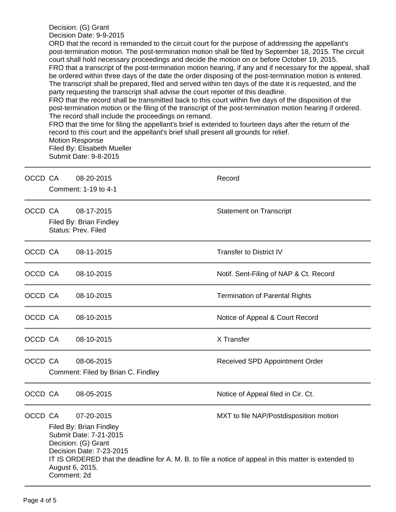Decision: (G) Grant Decision Date: 9-9-2015 ORD that the record is remanded to the circuit court for the purpose of addressing the appellant's post-termination motion. The post-termination motion shall be filed by September 18, 2015. The circuit court shall hold necessary proceedings and decide the motion on or before October 19, 2015. FRO that a transcript of the post-termination motion hearing, if any and if necessary for the appeal, shall be ordered within three days of the date the order disposing of the post-termination motion is entered. The transcript shall be prepared, filed and served within ten days of the date it is requested, and the party requesting the transcript shall advise the court reporter of this deadline. FRO that the record shall be transmitted back to this court within five days of the disposition of the post-termination motion or the filing of the transcript of the post-termination motion hearing if ordered. The record shall include the proceedings on remand.

FRO that the time for filing the appellant's brief is extended to fourteen days after the return of the record to this court and the appellant's brief shall present all grounds for relief. Motion Response Filed By: Elisabeth Mueller

Submit Date: 9-8-2015

| OCCD CA |                                                                                                                                                                                                                                                                                                         | 08-20-2015<br>Comment: 1-19 to 4-1               | Record                                 |  |  |
|---------|---------------------------------------------------------------------------------------------------------------------------------------------------------------------------------------------------------------------------------------------------------------------------------------------------------|--------------------------------------------------|----------------------------------------|--|--|
| OCCD CA | 08-17-2015<br>Filed By: Brian Findley<br>Status: Prev. Filed                                                                                                                                                                                                                                            |                                                  | <b>Statement on Transcript</b>         |  |  |
| OCCD CA |                                                                                                                                                                                                                                                                                                         | 08-11-2015                                       | <b>Transfer to District IV</b>         |  |  |
| OCCD CA |                                                                                                                                                                                                                                                                                                         | 08-10-2015                                       | Notif. Sent-Filing of NAP & Ct. Record |  |  |
| OCCD CA |                                                                                                                                                                                                                                                                                                         | 08-10-2015                                       | <b>Termination of Parental Rights</b>  |  |  |
| OCCD CA |                                                                                                                                                                                                                                                                                                         | 08-10-2015                                       | Notice of Appeal & Court Record        |  |  |
| OCCD CA |                                                                                                                                                                                                                                                                                                         | 08-10-2015                                       | X Transfer                             |  |  |
| OCCD CA |                                                                                                                                                                                                                                                                                                         | 08-06-2015<br>Comment: Filed by Brian C. Findley | Received SPD Appointment Order         |  |  |
| OCCD CA |                                                                                                                                                                                                                                                                                                         | 08-05-2015                                       | Notice of Appeal filed in Cir. Ct.     |  |  |
| OCCD CA | 07-20-2015<br>MXT to file NAP/Postdisposition motion<br>Filed By: Brian Findley<br>Submit Date: 7-21-2015<br>Decision: (G) Grant<br>Decision Date: 7-23-2015<br>IT IS ORDERED that the deadline for A. M. B. to file a notice of appeal in this matter is extended to<br>August 6, 2015.<br>Comment: 2d |                                                  |                                        |  |  |